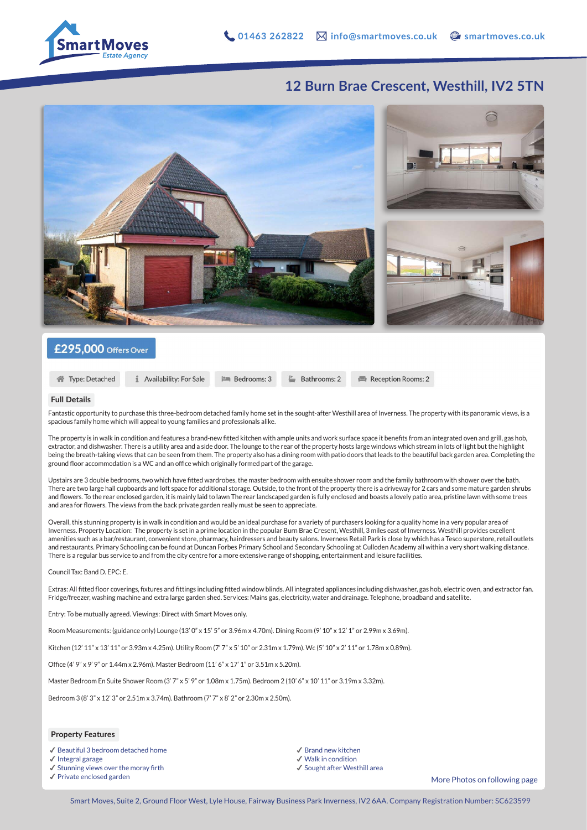

## **12 Burn Brae Crescent, Westhill, IV2 5TN**



### £295,000 Offers Over

```
企Type: Detached
```
Availability: For Sale

**PM** Bedrooms: 3  $\stackrel{p}{\equiv}$  Bathrooms: 2 Reception Rooms: 2

#### **Full Details**

Fantastic opportunity to purchase this three-bedroom detached family home set in the sought-after Westhill area of Inverness. The property with its panoramic views, is a spacious family home which will appeal to young families and professionals alike.

The property is in walk in condition and features a brand-new fitted kitchen with ample units and work surface space it benefits from an integrated oven and grill, gas hob, extractor, and dishwasher. There is a utility area and a side door. The lounge to the rear of the property hosts large windows which stream in lots of light but the highlight being the breath-taking views that can be seen from them. The property also has a dining room with patio doors that leads to the beautiful back garden area. Completing the ground floor accommodation is a WC and an office which originally formed part of the garage.

Upstairs are 3 double bedrooms, two which have fitted wardrobes, the master bedroom with ensuite shower room and the family bathroom with shower over the bath. There are two large hall cupboards and loft space for additional storage. Outside, to the front of the property there is a driveway for 2 cars and some mature garden shrubs and flowers. To the rear enclosed garden, it is mainly laid to lawn The rear landscaped garden is fully enclosed and boasts a lovely patio area, pristine lawn with some trees and area for flowers. The views from the back private garden really must be seen to appreciate.

Overall, this stunning property is in walk in condition and would be an ideal purchase for a variety of purchasers looking for a quality home in a very popular area of Inverness. Property Location: The property is set in a prime location in the popular Burn Brae Cresent, Westhill, 3 miles east of Inverness. Westhill provides excellent amenities such as a bar/restaurant, convenient store, pharmacy, hairdressers and beauty salons. Inverness Retail Park is close by which has a Tesco superstore, retail outlets and restaurants. Primary Schooling can be found at Duncan Forbes Primary School and Secondary Schooling at Culloden Academy all within a very short walking distance. There is a regular bus service to and from the city centre for a more extensive range of shopping, entertainment and leisure facilities.

Council Tax: Band D. EPC: E.

Extras: All fitted floor coverings, fixtures and fittings including fitted window blinds. All integrated appliances including dishwasher, gas hob, electric oven, and extractor fan. Fridge/freezer, washing machine and extra large garden shed. Services: Mains gas, electricity, water and drainage. Telephone, broadband and satellite.

Entry: To be mutually agreed. Viewings: Direct with Smart Moves only.

Room Measurements: (guidance only) Lounge (13' 0" x 15' 5" or 3.96m x 4.70m). Dining Room (9' 10" x 12' 1" or 2.99m x 3.69m).

Kitchen (12' 11" x 13' 11" or 3.93m x 4.25m). Utility Room (7' 7" x 5' 10" or 2.31m x 1.79m). Wc (5' 10" x 2' 11" or 1.78m x 0.89m).

Office (4' 9" x 9' 9" or 1.44m x 2.96m). Master Bedroom (11' 6" x 17' 1" or 3.51m x 5.20m).

Master Bedroom En Suite Shower Room (3' 7" x 5' 9" or 1.08m x 1.75m). Bedroom 2 (10' 6" x 10' 11" or 3.19m x 3.32m).

Bedroom 3 (8' 3" x 12' 3" or 2.51m x 3.74m). Bathroom (7' 7" x 8' 2" or 2.30m x 2.50m).

#### **Property Features**

✔︎ Beautiful 3 bedroom detached home

- ✔︎ Integral garage
- ✔︎ Stunning views over the moray firth
- ✔︎ Private enclosed garden

✔︎ Brand new kitchen

- ✔︎ Walk in condition ✔︎ Sought after Westhill area
- 

More Photos on following page